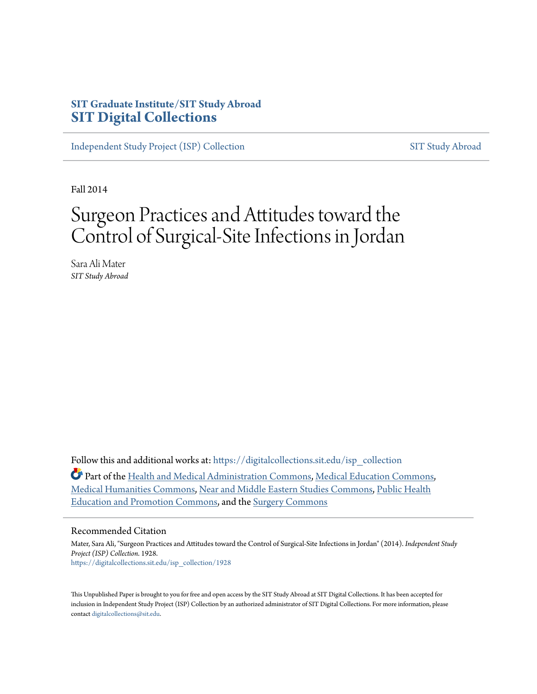# **SIT Graduate Institute/SIT Study Abroad [SIT Digital Collections](https://digitalcollections.sit.edu?utm_source=digitalcollections.sit.edu%2Fisp_collection%2F1928&utm_medium=PDF&utm_campaign=PDFCoverPages)**

[Independent Study Project \(ISP\) Collection](https://digitalcollections.sit.edu/isp_collection?utm_source=digitalcollections.sit.edu%2Fisp_collection%2F1928&utm_medium=PDF&utm_campaign=PDFCoverPages) [SIT Study Abroad](https://digitalcollections.sit.edu/study_abroad?utm_source=digitalcollections.sit.edu%2Fisp_collection%2F1928&utm_medium=PDF&utm_campaign=PDFCoverPages)

Fall 2014

# Surgeon Practices and Attitudes toward the Control of Surgical-Site Infections in Jordan

Sara Ali Mater *SIT Study Abroad*

Follow this and additional works at: [https://digitalcollections.sit.edu/isp\\_collection](https://digitalcollections.sit.edu/isp_collection?utm_source=digitalcollections.sit.edu%2Fisp_collection%2F1928&utm_medium=PDF&utm_campaign=PDFCoverPages)

Part of the [Health and Medical Administration Commons](http://network.bepress.com/hgg/discipline/663?utm_source=digitalcollections.sit.edu%2Fisp_collection%2F1928&utm_medium=PDF&utm_campaign=PDFCoverPages), [Medical Education Commons,](http://network.bepress.com/hgg/discipline/1125?utm_source=digitalcollections.sit.edu%2Fisp_collection%2F1928&utm_medium=PDF&utm_campaign=PDFCoverPages) [Medical Humanities Commons](http://network.bepress.com/hgg/discipline/1303?utm_source=digitalcollections.sit.edu%2Fisp_collection%2F1928&utm_medium=PDF&utm_campaign=PDFCoverPages), [Near and Middle Eastern Studies Commons](http://network.bepress.com/hgg/discipline/1308?utm_source=digitalcollections.sit.edu%2Fisp_collection%2F1928&utm_medium=PDF&utm_campaign=PDFCoverPages), [Public Health](http://network.bepress.com/hgg/discipline/743?utm_source=digitalcollections.sit.edu%2Fisp_collection%2F1928&utm_medium=PDF&utm_campaign=PDFCoverPages) [Education and Promotion Commons](http://network.bepress.com/hgg/discipline/743?utm_source=digitalcollections.sit.edu%2Fisp_collection%2F1928&utm_medium=PDF&utm_campaign=PDFCoverPages), and the [Surgery Commons](http://network.bepress.com/hgg/discipline/706?utm_source=digitalcollections.sit.edu%2Fisp_collection%2F1928&utm_medium=PDF&utm_campaign=PDFCoverPages)

#### Recommended Citation

Mater, Sara Ali, "Surgeon Practices and Attitudes toward the Control of Surgical-Site Infections in Jordan" (2014). *Independent Study Project (ISP) Collection*. 1928. [https://digitalcollections.sit.edu/isp\\_collection/1928](https://digitalcollections.sit.edu/isp_collection/1928?utm_source=digitalcollections.sit.edu%2Fisp_collection%2F1928&utm_medium=PDF&utm_campaign=PDFCoverPages)

This Unpublished Paper is brought to you for free and open access by the SIT Study Abroad at SIT Digital Collections. It has been accepted for inclusion in Independent Study Project (ISP) Collection by an authorized administrator of SIT Digital Collections. For more information, please contact [digitalcollections@sit.edu](mailto:digitalcollections@sit.edu).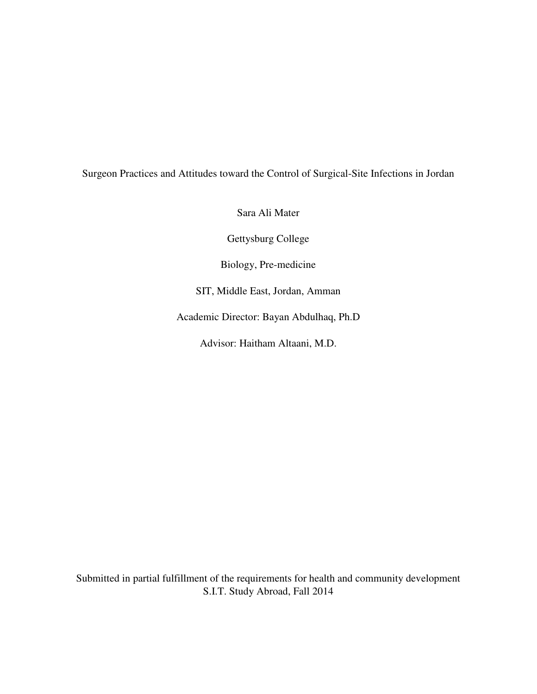# Surgeon Practices and Attitudes toward the Control of Surgical-Site Infections in Jordan

Sara Ali Mater

Gettysburg College

Biology, Pre-medicine

SIT, Middle East, Jordan, Amman

Academic Director: Bayan Abdulhaq, Ph.D

Advisor: Haitham Altaani, M.D.

Submitted in partial fulfillment of the requirements for health and community development S.I.T. Study Abroad, Fall 2014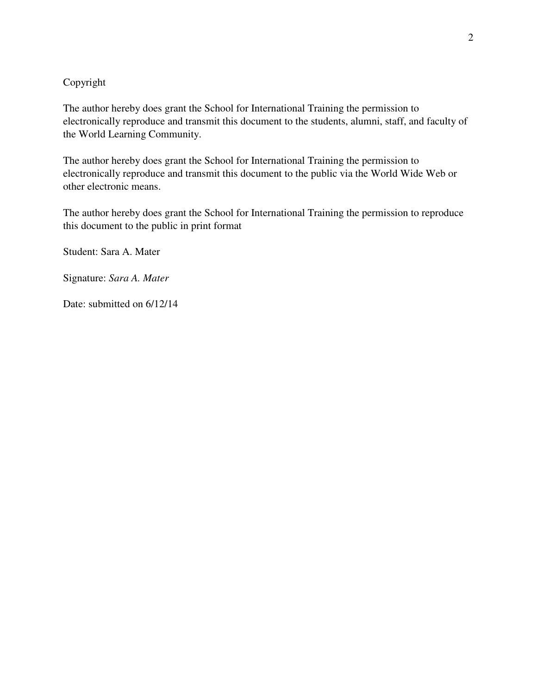# Copyright

The author hereby does grant the School for International Training the permission to electronically reproduce and transmit this document to the students, alumni, staff, and faculty of the World Learning Community.

The author hereby does grant the School for International Training the permission to electronically reproduce and transmit this document to the public via the World Wide Web or other electronic means.

The author hereby does grant the School for International Training the permission to reproduce this document to the public in print format

Student: Sara A. Mater

Signature: *Sara A. Mater*

Date: submitted on  $6/12/14$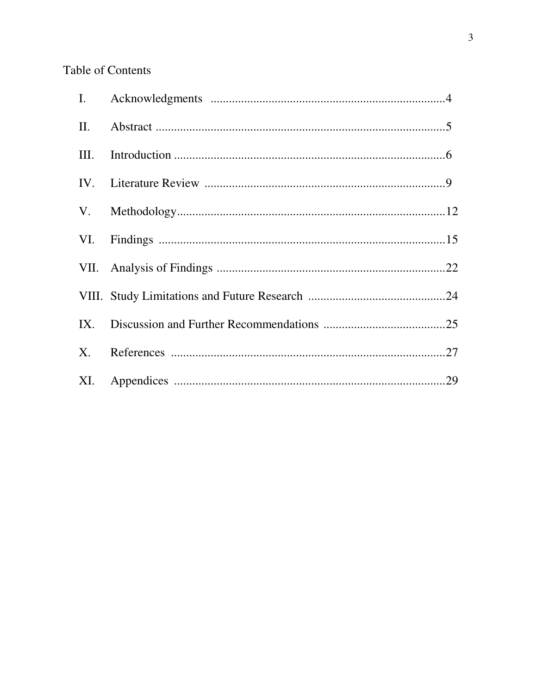# Table of Contents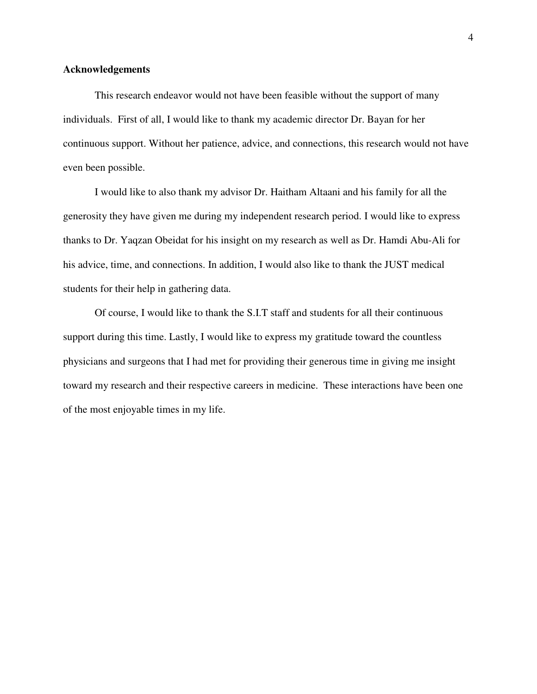#### **Acknowledgements**

This research endeavor would not have been feasible without the support of many individuals. First of all, I would like to thank my academic director Dr. Bayan for her continuous support. Without her patience, advice, and connections, this research would not have even been possible.

I would like to also thank my advisor Dr. Haitham Altaani and his family for all the generosity they have given me during my independent research period. I would like to express thanks to Dr. Yaqzan Obeidat for his insight on my research as well as Dr. Hamdi Abu-Ali for his advice, time, and connections. In addition, I would also like to thank the JUST medical students for their help in gathering data.

Of course, I would like to thank the S.I.T staff and students for all their continuous support during this time. Lastly, I would like to express my gratitude toward the countless physicians and surgeons that I had met for providing their generous time in giving me insight toward my research and their respective careers in medicine. These interactions have been one of the most enjoyable times in my life.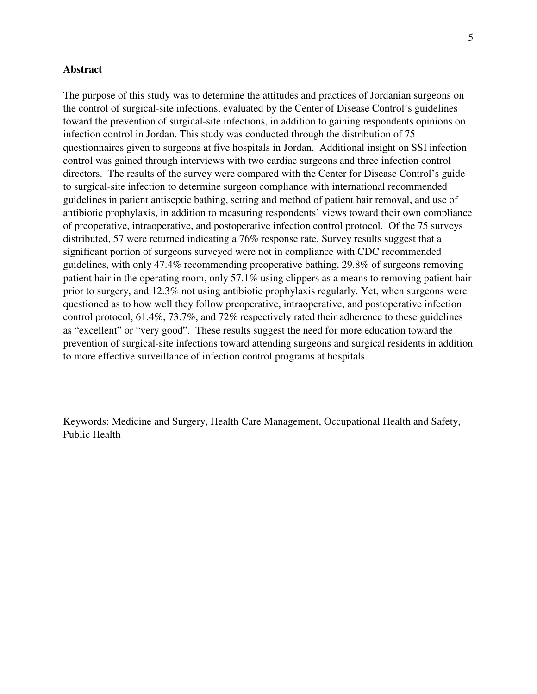#### **Abstract**

The purpose of this study was to determine the attitudes and practices of Jordanian surgeons on the control of surgical-site infections, evaluated by the Center of Disease Control's guidelines toward the prevention of surgical-site infections, in addition to gaining respondents opinions on infection control in Jordan. This study was conducted through the distribution of 75 questionnaires given to surgeons at five hospitals in Jordan. Additional insight on SSI infection control was gained through interviews with two cardiac surgeons and three infection control directors. The results of the survey were compared with the Center for Disease Control's guide to surgical-site infection to determine surgeon compliance with international recommended guidelines in patient antiseptic bathing, setting and method of patient hair removal, and use of antibiotic prophylaxis, in addition to measuring respondents' views toward their own compliance of preoperative, intraoperative, and postoperative infection control protocol. Of the 75 surveys distributed, 57 were returned indicating a 76% response rate. Survey results suggest that a significant portion of surgeons surveyed were not in compliance with CDC recommended guidelines, with only 47.4% recommending preoperative bathing, 29.8% of surgeons removing patient hair in the operating room, only 57.1% using clippers as a means to removing patient hair prior to surgery, and 12.3% not using antibiotic prophylaxis regularly. Yet, when surgeons were questioned as to how well they follow preoperative, intraoperative, and postoperative infection control protocol, 61.4%, 73.7%, and 72% respectively rated their adherence to these guidelines as "excellent" or "very good". These results suggest the need for more education toward the prevention of surgical-site infections toward attending surgeons and surgical residents in addition to more effective surveillance of infection control programs at hospitals.

Keywords: Medicine and Surgery, Health Care Management, Occupational Health and Safety, Public Health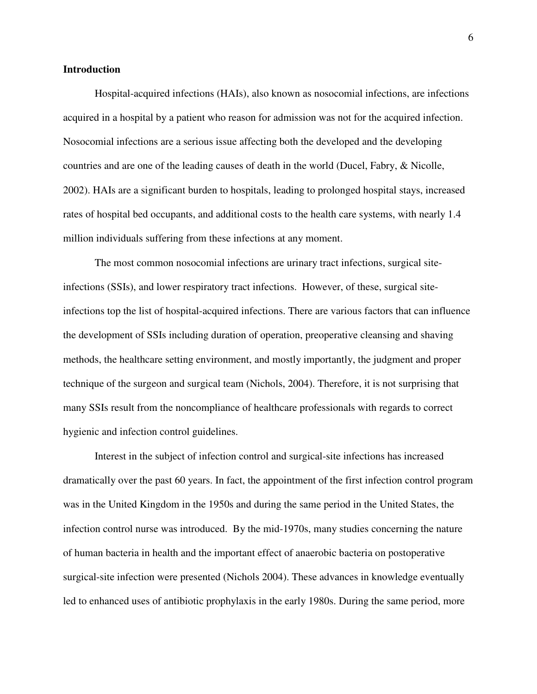#### **Introduction**

Hospital-acquired infections (HAIs), also known as nosocomial infections, are infections acquired in a hospital by a patient who reason for admission was not for the acquired infection. Nosocomial infections are a serious issue affecting both the developed and the developing countries and are one of the leading causes of death in the world (Ducel, Fabry, & Nicolle, 2002). HAIs are a significant burden to hospitals, leading to prolonged hospital stays, increased rates of hospital bed occupants, and additional costs to the health care systems, with nearly 1.4 million individuals suffering from these infections at any moment.

The most common nosocomial infections are urinary tract infections, surgical siteinfections (SSIs), and lower respiratory tract infections. However, of these, surgical siteinfections top the list of hospital-acquired infections. There are various factors that can influence the development of SSIs including duration of operation, preoperative cleansing and shaving methods, the healthcare setting environment, and mostly importantly, the judgment and proper technique of the surgeon and surgical team (Nichols, 2004). Therefore, it is not surprising that many SSIs result from the noncompliance of healthcare professionals with regards to correct hygienic and infection control guidelines.

 Interest in the subject of infection control and surgical-site infections has increased dramatically over the past 60 years. In fact, the appointment of the first infection control program was in the United Kingdom in the 1950s and during the same period in the United States, the infection control nurse was introduced. By the mid-1970s, many studies concerning the nature of human bacteria in health and the important effect of anaerobic bacteria on postoperative surgical-site infection were presented (Nichols 2004). These advances in knowledge eventually led to enhanced uses of antibiotic prophylaxis in the early 1980s. During the same period, more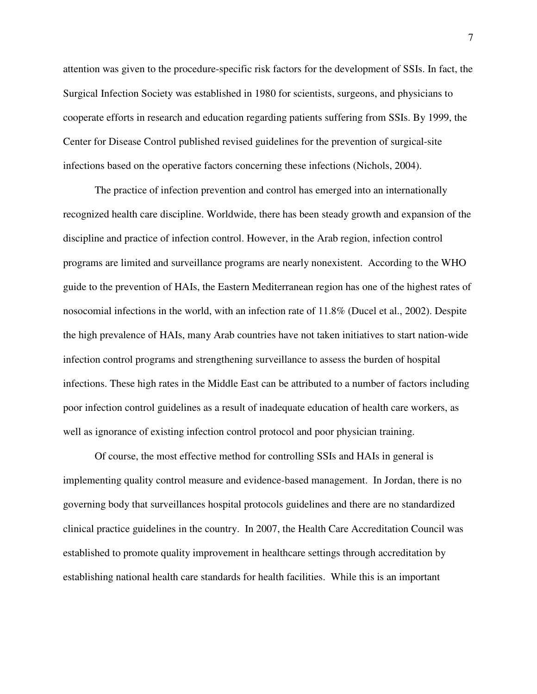attention was given to the procedure-specific risk factors for the development of SSIs. In fact, the Surgical Infection Society was established in 1980 for scientists, surgeons, and physicians to cooperate efforts in research and education regarding patients suffering from SSIs. By 1999, the Center for Disease Control published revised guidelines for the prevention of surgical-site infections based on the operative factors concerning these infections (Nichols, 2004).

The practice of infection prevention and control has emerged into an internationally recognized health care discipline. Worldwide, there has been steady growth and expansion of the discipline and practice of infection control. However, in the Arab region, infection control programs are limited and surveillance programs are nearly nonexistent. According to the WHO guide to the prevention of HAIs, the Eastern Mediterranean region has one of the highest rates of nosocomial infections in the world, with an infection rate of 11.8% (Ducel et al., 2002). Despite the high prevalence of HAIs, many Arab countries have not taken initiatives to start nation-wide infection control programs and strengthening surveillance to assess the burden of hospital infections. These high rates in the Middle East can be attributed to a number of factors including poor infection control guidelines as a result of inadequate education of health care workers, as well as ignorance of existing infection control protocol and poor physician training.

Of course, the most effective method for controlling SSIs and HAIs in general is implementing quality control measure and evidence-based management. In Jordan, there is no governing body that surveillances hospital protocols guidelines and there are no standardized clinical practice guidelines in the country. In 2007, the Health Care Accreditation Council was established to promote quality improvement in healthcare settings through accreditation by establishing national health care standards for health facilities. While this is an important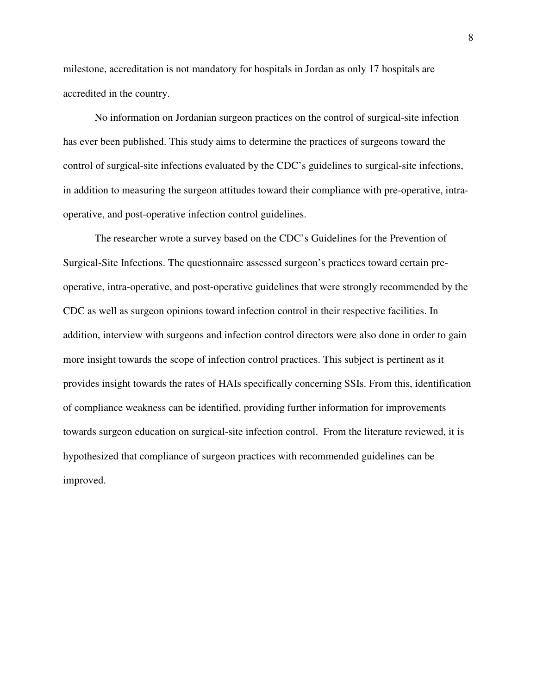milestone, accreditation is not mandatory for hospitals in Jordan as only 17 hospitals are accredited in the country.

No information on Jordanian surgeon practices on the control of surgical-site infection has ever been published. This study aims to determine the practices of surgeons toward the control of surgical-site infections evaluated by the CDC's guidelines to surgical-site infections, in addition to measuring the surgeon attitudes toward their compliance with pre-operative, intraoperative, and post-operative infection control guidelines.

The researcher wrote a survey based on the CDC's Guidelines for the Prevention of Surgical-Site Infections. The questionnaire assessed surgeon's practices toward certain preoperative, intra-operative, and post-operative guidelines that were strongly recommended by the CDC as well as surgeon opinions toward infection control in their respective facilities. In addition, interview with surgeons and infection control directors were also done in order to gain more insight towards the scope of infection control practices. This subject is pertinent as it provides insight towards the rates of HAIs specifically concerning SSIs. From this, identification of compliance weakness can be identified, providing further information for improvements towards surgeon education on surgical-site infection control. From the literature reviewed, it is hypothesized that compliance of surgeon practices with recommended guidelines can be improved.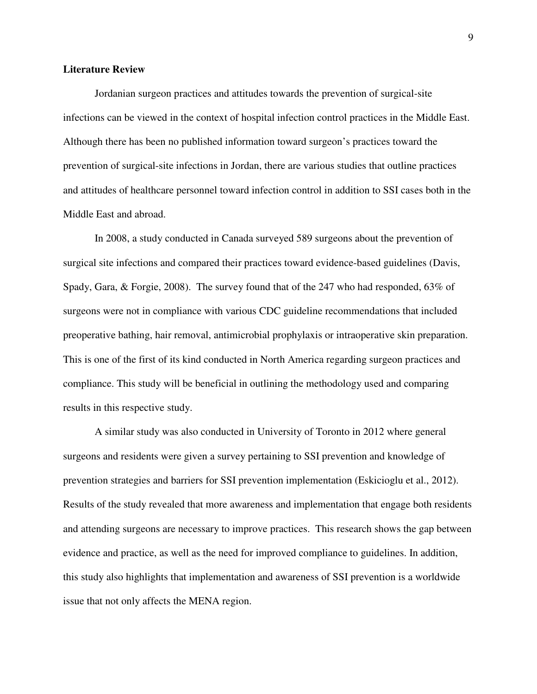#### **Literature Review**

 Jordanian surgeon practices and attitudes towards the prevention of surgical-site infections can be viewed in the context of hospital infection control practices in the Middle East. Although there has been no published information toward surgeon's practices toward the prevention of surgical-site infections in Jordan, there are various studies that outline practices and attitudes of healthcare personnel toward infection control in addition to SSI cases both in the Middle East and abroad.

In 2008, a study conducted in Canada surveyed 589 surgeons about the prevention of surgical site infections and compared their practices toward evidence-based guidelines (Davis, Spady, Gara, & Forgie, 2008). The survey found that of the 247 who had responded, 63% of surgeons were not in compliance with various CDC guideline recommendations that included preoperative bathing, hair removal, antimicrobial prophylaxis or intraoperative skin preparation. This is one of the first of its kind conducted in North America regarding surgeon practices and compliance. This study will be beneficial in outlining the methodology used and comparing results in this respective study.

A similar study was also conducted in University of Toronto in 2012 where general surgeons and residents were given a survey pertaining to SSI prevention and knowledge of prevention strategies and barriers for SSI prevention implementation (Eskicioglu et al., 2012). Results of the study revealed that more awareness and implementation that engage both residents and attending surgeons are necessary to improve practices. This research shows the gap between evidence and practice, as well as the need for improved compliance to guidelines. In addition, this study also highlights that implementation and awareness of SSI prevention is a worldwide issue that not only affects the MENA region.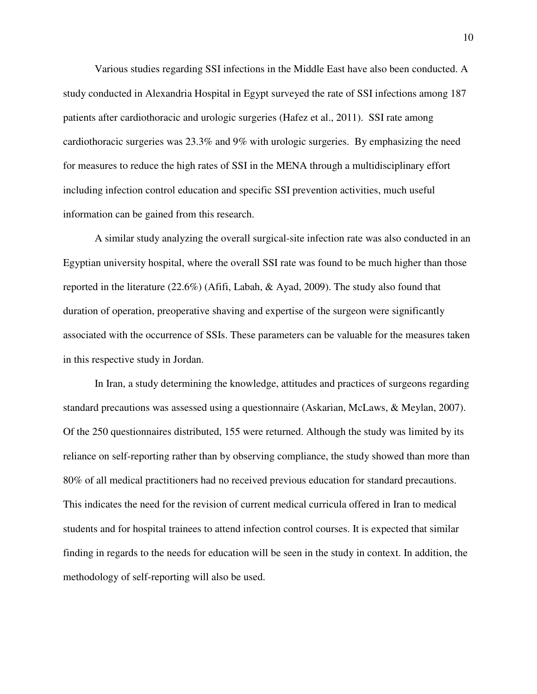Various studies regarding SSI infections in the Middle East have also been conducted. A study conducted in Alexandria Hospital in Egypt surveyed the rate of SSI infections among 187 patients after cardiothoracic and urologic surgeries (Hafez et al., 2011). SSI rate among cardiothoracic surgeries was 23.3% and 9% with urologic surgeries. By emphasizing the need for measures to reduce the high rates of SSI in the MENA through a multidisciplinary effort including infection control education and specific SSI prevention activities, much useful information can be gained from this research.

A similar study analyzing the overall surgical-site infection rate was also conducted in an Egyptian university hospital, where the overall SSI rate was found to be much higher than those reported in the literature (22.6%) (Afifi, Labah, & Ayad, 2009). The study also found that duration of operation, preoperative shaving and expertise of the surgeon were significantly associated with the occurrence of SSIs. These parameters can be valuable for the measures taken in this respective study in Jordan.

In Iran, a study determining the knowledge, attitudes and practices of surgeons regarding standard precautions was assessed using a questionnaire (Askarian, McLaws, & Meylan, 2007). Of the 250 questionnaires distributed, 155 were returned. Although the study was limited by its reliance on self-reporting rather than by observing compliance, the study showed than more than 80% of all medical practitioners had no received previous education for standard precautions. This indicates the need for the revision of current medical curricula offered in Iran to medical students and for hospital trainees to attend infection control courses. It is expected that similar finding in regards to the needs for education will be seen in the study in context. In addition, the methodology of self-reporting will also be used.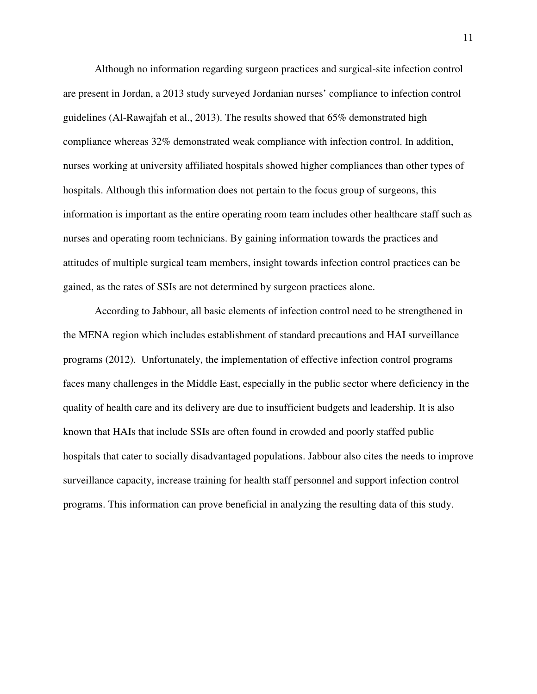Although no information regarding surgeon practices and surgical-site infection control are present in Jordan, a 2013 study surveyed Jordanian nurses' compliance to infection control guidelines (Al-Rawajfah et al., 2013). The results showed that 65% demonstrated high compliance whereas 32% demonstrated weak compliance with infection control. In addition, nurses working at university affiliated hospitals showed higher compliances than other types of hospitals. Although this information does not pertain to the focus group of surgeons, this information is important as the entire operating room team includes other healthcare staff such as nurses and operating room technicians. By gaining information towards the practices and attitudes of multiple surgical team members, insight towards infection control practices can be gained, as the rates of SSIs are not determined by surgeon practices alone.

 According to Jabbour, all basic elements of infection control need to be strengthened in the MENA region which includes establishment of standard precautions and HAI surveillance programs (2012). Unfortunately, the implementation of effective infection control programs faces many challenges in the Middle East, especially in the public sector where deficiency in the quality of health care and its delivery are due to insufficient budgets and leadership. It is also known that HAIs that include SSIs are often found in crowded and poorly staffed public hospitals that cater to socially disadvantaged populations. Jabbour also cites the needs to improve surveillance capacity, increase training for health staff personnel and support infection control programs. This information can prove beneficial in analyzing the resulting data of this study.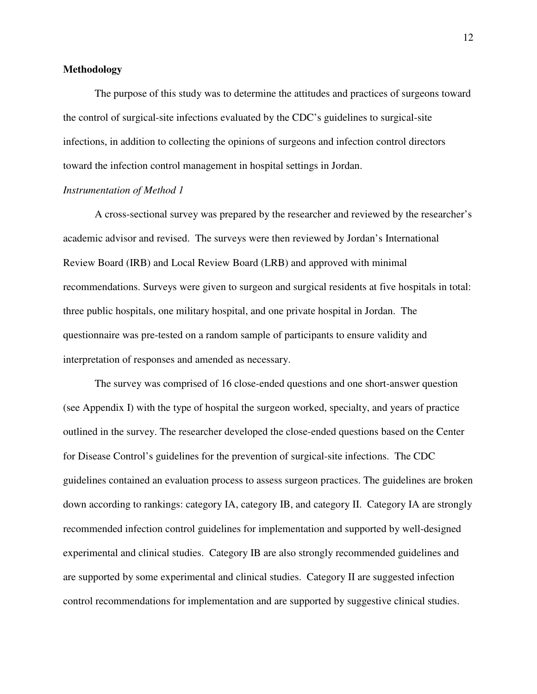#### **Methodology**

The purpose of this study was to determine the attitudes and practices of surgeons toward the control of surgical-site infections evaluated by the CDC's guidelines to surgical-site infections, in addition to collecting the opinions of surgeons and infection control directors toward the infection control management in hospital settings in Jordan.

#### *Instrumentation of Method 1*

A cross-sectional survey was prepared by the researcher and reviewed by the researcher's academic advisor and revised. The surveys were then reviewed by Jordan's International Review Board (IRB) and Local Review Board (LRB) and approved with minimal recommendations. Surveys were given to surgeon and surgical residents at five hospitals in total: three public hospitals, one military hospital, and one private hospital in Jordan. The questionnaire was pre-tested on a random sample of participants to ensure validity and interpretation of responses and amended as necessary.

The survey was comprised of 16 close-ended questions and one short-answer question (see Appendix I) with the type of hospital the surgeon worked, specialty, and years of practice outlined in the survey. The researcher developed the close-ended questions based on the Center for Disease Control's guidelines for the prevention of surgical-site infections. The CDC guidelines contained an evaluation process to assess surgeon practices. The guidelines are broken down according to rankings: category IA, category IB, and category II. Category IA are strongly recommended infection control guidelines for implementation and supported by well-designed experimental and clinical studies. Category IB are also strongly recommended guidelines and are supported by some experimental and clinical studies. Category II are suggested infection control recommendations for implementation and are supported by suggestive clinical studies.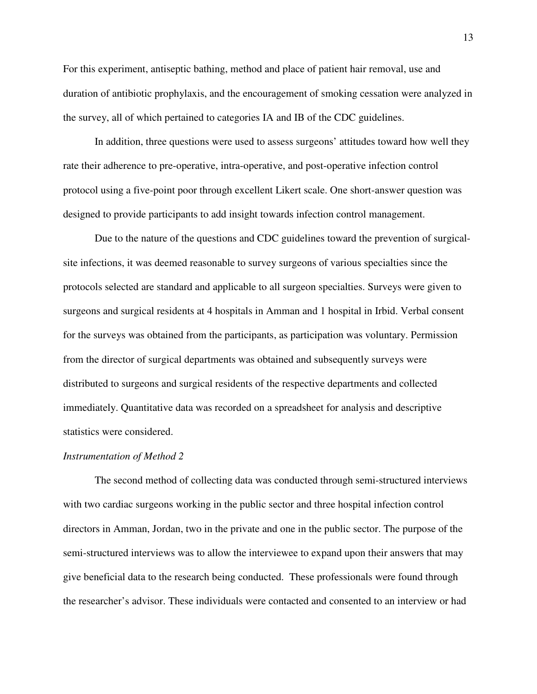For this experiment, antiseptic bathing, method and place of patient hair removal, use and duration of antibiotic prophylaxis, and the encouragement of smoking cessation were analyzed in the survey, all of which pertained to categories IA and IB of the CDC guidelines.

In addition, three questions were used to assess surgeons' attitudes toward how well they rate their adherence to pre-operative, intra-operative, and post-operative infection control protocol using a five-point poor through excellent Likert scale. One short-answer question was designed to provide participants to add insight towards infection control management.

Due to the nature of the questions and CDC guidelines toward the prevention of surgicalsite infections, it was deemed reasonable to survey surgeons of various specialties since the protocols selected are standard and applicable to all surgeon specialties. Surveys were given to surgeons and surgical residents at 4 hospitals in Amman and 1 hospital in Irbid. Verbal consent for the surveys was obtained from the participants, as participation was voluntary. Permission from the director of surgical departments was obtained and subsequently surveys were distributed to surgeons and surgical residents of the respective departments and collected immediately. Quantitative data was recorded on a spreadsheet for analysis and descriptive statistics were considered.

#### *Instrumentation of Method 2*

The second method of collecting data was conducted through semi-structured interviews with two cardiac surgeons working in the public sector and three hospital infection control directors in Amman, Jordan, two in the private and one in the public sector. The purpose of the semi-structured interviews was to allow the interviewee to expand upon their answers that may give beneficial data to the research being conducted. These professionals were found through the researcher's advisor. These individuals were contacted and consented to an interview or had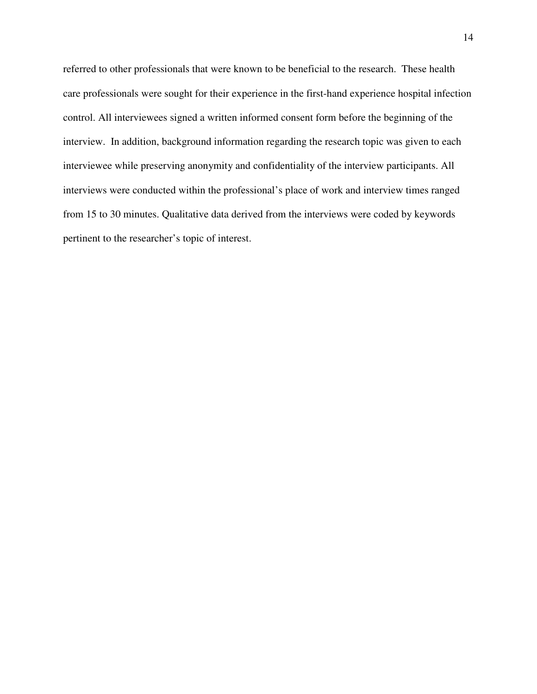referred to other professionals that were known to be beneficial to the research. These health care professionals were sought for their experience in the first-hand experience hospital infection control. All interviewees signed a written informed consent form before the beginning of the interview. In addition, background information regarding the research topic was given to each interviewee while preserving anonymity and confidentiality of the interview participants. All interviews were conducted within the professional's place of work and interview times ranged from 15 to 30 minutes. Qualitative data derived from the interviews were coded by keywords pertinent to the researcher's topic of interest.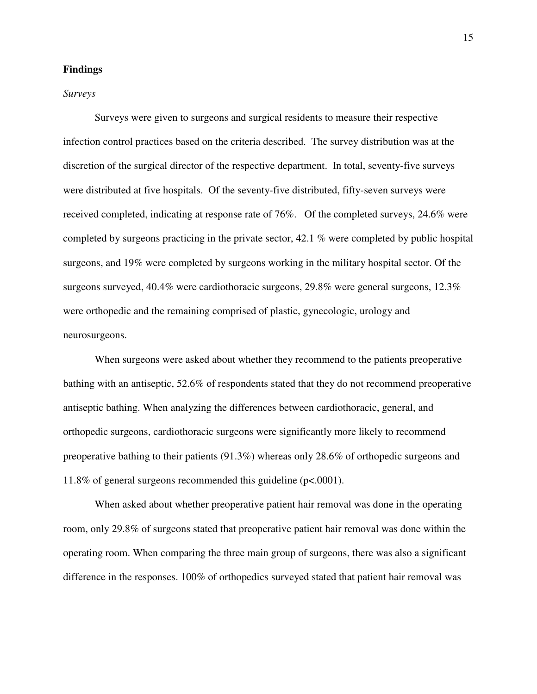#### **Findings**

#### *Surveys*

Surveys were given to surgeons and surgical residents to measure their respective infection control practices based on the criteria described. The survey distribution was at the discretion of the surgical director of the respective department. In total, seventy-five surveys were distributed at five hospitals. Of the seventy-five distributed, fifty-seven surveys were received completed, indicating at response rate of 76%. Of the completed surveys, 24.6% were completed by surgeons practicing in the private sector, 42.1 % were completed by public hospital surgeons, and 19% were completed by surgeons working in the military hospital sector. Of the surgeons surveyed, 40.4% were cardiothoracic surgeons, 29.8% were general surgeons, 12.3% were orthopedic and the remaining comprised of plastic, gynecologic, urology and neurosurgeons.

When surgeons were asked about whether they recommend to the patients preoperative bathing with an antiseptic, 52.6% of respondents stated that they do not recommend preoperative antiseptic bathing. When analyzing the differences between cardiothoracic, general, and orthopedic surgeons, cardiothoracic surgeons were significantly more likely to recommend preoperative bathing to their patients (91.3%) whereas only 28.6% of orthopedic surgeons and 11.8% of general surgeons recommended this guideline (p<.0001).

When asked about whether preoperative patient hair removal was done in the operating room, only 29.8% of surgeons stated that preoperative patient hair removal was done within the operating room. When comparing the three main group of surgeons, there was also a significant difference in the responses. 100% of orthopedics surveyed stated that patient hair removal was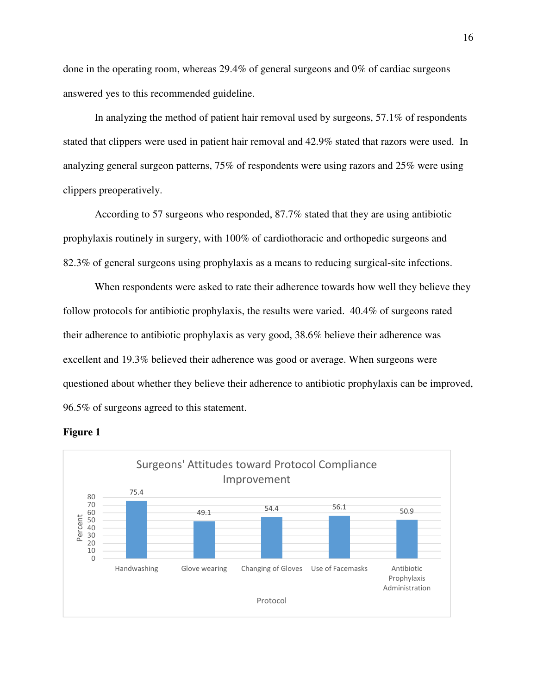done in the operating room, whereas 29.4% of general surgeons and 0% of cardiac surgeons answered yes to this recommended guideline.

In analyzing the method of patient hair removal used by surgeons, 57.1% of respondents stated that clippers were used in patient hair removal and 42.9% stated that razors were used. In analyzing general surgeon patterns, 75% of respondents were using razors and 25% were using clippers preoperatively.

According to 57 surgeons who responded, 87.7% stated that they are using antibiotic prophylaxis routinely in surgery, with 100% of cardiothoracic and orthopedic surgeons and 82.3% of general surgeons using prophylaxis as a means to reducing surgical-site infections.

When respondents were asked to rate their adherence towards how well they believe they follow protocols for antibiotic prophylaxis, the results were varied. 40.4% of surgeons rated their adherence to antibiotic prophylaxis as very good, 38.6% believe their adherence was excellent and 19.3% believed their adherence was good or average. When surgeons were questioned about whether they believe their adherence to antibiotic prophylaxis can be improved, 96.5% of surgeons agreed to this statement.



#### **Figure 1**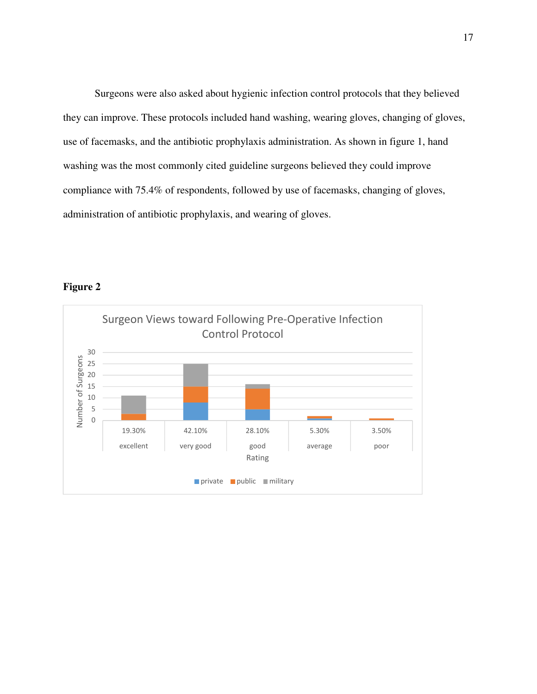Surgeons were also asked about hygienic infection control protocols that they believed they can improve. These protocols included hand washing, wearing gloves, changing of gloves, use of facemasks, and the antibiotic prophylaxis administration. As shown in figure 1, hand washing was the most commonly cited guideline surgeons believed they could improve compliance with 75.4% of respondents, followed by use of facemasks, changing of gloves, administration of antibiotic prophylaxis, and wearing of gloves.



# **Figure 2**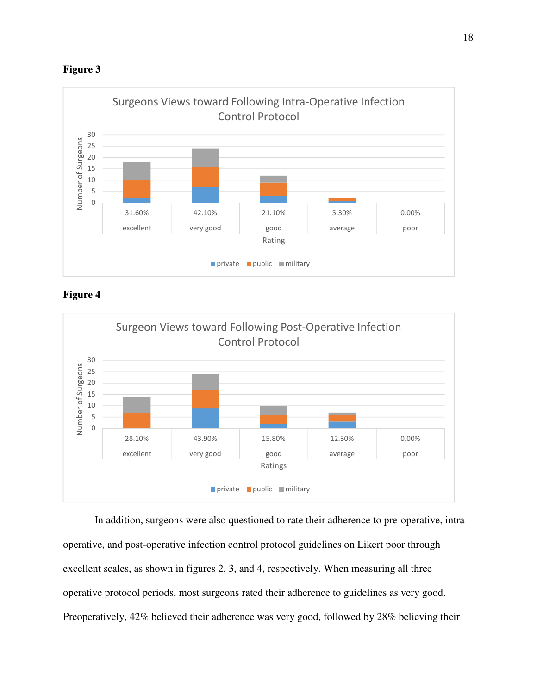



**Figure 4** 



In addition, surgeons were also questioned to rate their adherence to pre-operative, intraoperative, and post-operative infection control protocol guidelines on Likert poor through excellent scales, as shown in figures 2, 3, and 4, respectively. When measuring all three operative protocol periods, most surgeons rated their adherence to guidelines as very good. Preoperatively, 42% believed their adherence was very good, followed by 28% believing their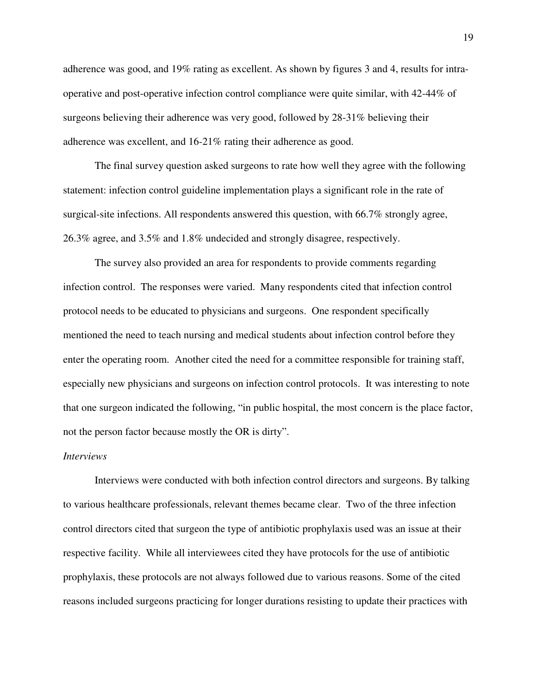adherence was good, and 19% rating as excellent. As shown by figures 3 and 4, results for intraoperative and post-operative infection control compliance were quite similar, with 42-44% of surgeons believing their adherence was very good, followed by 28-31% believing their adherence was excellent, and 16-21% rating their adherence as good.

The final survey question asked surgeons to rate how well they agree with the following statement: infection control guideline implementation plays a significant role in the rate of surgical-site infections. All respondents answered this question, with 66.7% strongly agree, 26.3% agree, and 3.5% and 1.8% undecided and strongly disagree, respectively.

The survey also provided an area for respondents to provide comments regarding infection control. The responses were varied. Many respondents cited that infection control protocol needs to be educated to physicians and surgeons. One respondent specifically mentioned the need to teach nursing and medical students about infection control before they enter the operating room. Another cited the need for a committee responsible for training staff, especially new physicians and surgeons on infection control protocols. It was interesting to note that one surgeon indicated the following, "in public hospital, the most concern is the place factor, not the person factor because mostly the OR is dirty".

#### *Interviews*

Interviews were conducted with both infection control directors and surgeons. By talking to various healthcare professionals, relevant themes became clear. Two of the three infection control directors cited that surgeon the type of antibiotic prophylaxis used was an issue at their respective facility. While all interviewees cited they have protocols for the use of antibiotic prophylaxis, these protocols are not always followed due to various reasons. Some of the cited reasons included surgeons practicing for longer durations resisting to update their practices with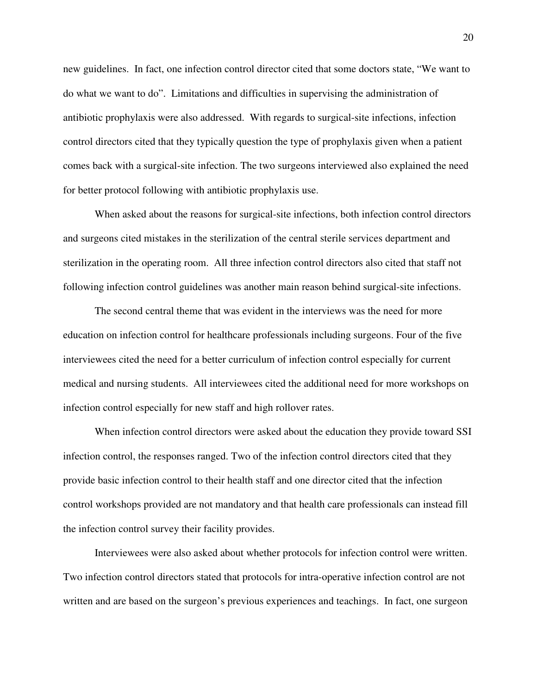new guidelines. In fact, one infection control director cited that some doctors state, "We want to do what we want to do". Limitations and difficulties in supervising the administration of antibiotic prophylaxis were also addressed. With regards to surgical-site infections, infection control directors cited that they typically question the type of prophylaxis given when a patient comes back with a surgical-site infection. The two surgeons interviewed also explained the need for better protocol following with antibiotic prophylaxis use.

When asked about the reasons for surgical-site infections, both infection control directors and surgeons cited mistakes in the sterilization of the central sterile services department and sterilization in the operating room. All three infection control directors also cited that staff not following infection control guidelines was another main reason behind surgical-site infections.

 The second central theme that was evident in the interviews was the need for more education on infection control for healthcare professionals including surgeons. Four of the five interviewees cited the need for a better curriculum of infection control especially for current medical and nursing students. All interviewees cited the additional need for more workshops on infection control especially for new staff and high rollover rates.

When infection control directors were asked about the education they provide toward SSI infection control, the responses ranged. Two of the infection control directors cited that they provide basic infection control to their health staff and one director cited that the infection control workshops provided are not mandatory and that health care professionals can instead fill the infection control survey their facility provides.

Interviewees were also asked about whether protocols for infection control were written. Two infection control directors stated that protocols for intra-operative infection control are not written and are based on the surgeon's previous experiences and teachings. In fact, one surgeon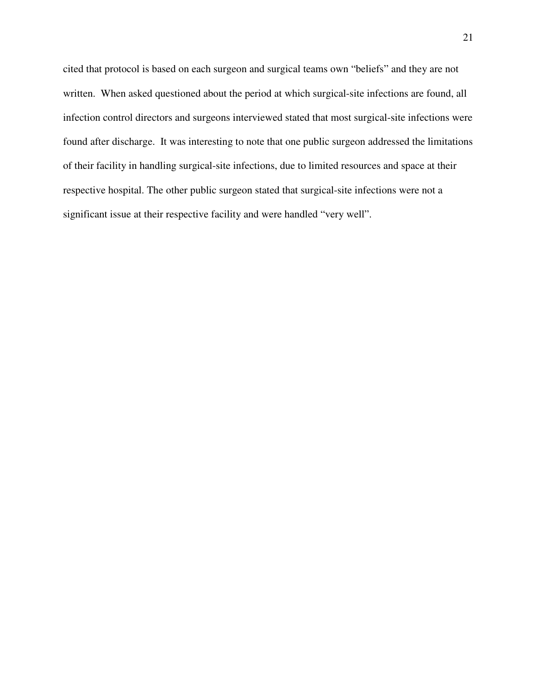cited that protocol is based on each surgeon and surgical teams own "beliefs" and they are not written. When asked questioned about the period at which surgical-site infections are found, all infection control directors and surgeons interviewed stated that most surgical-site infections were found after discharge. It was interesting to note that one public surgeon addressed the limitations of their facility in handling surgical-site infections, due to limited resources and space at their respective hospital. The other public surgeon stated that surgical-site infections were not a significant issue at their respective facility and were handled "very well".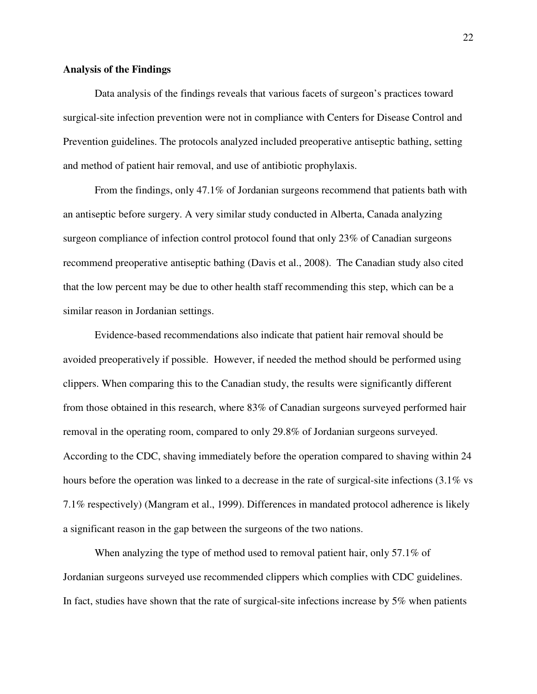#### **Analysis of the Findings**

Data analysis of the findings reveals that various facets of surgeon's practices toward surgical-site infection prevention were not in compliance with Centers for Disease Control and Prevention guidelines. The protocols analyzed included preoperative antiseptic bathing, setting and method of patient hair removal, and use of antibiotic prophylaxis.

From the findings, only 47.1% of Jordanian surgeons recommend that patients bath with an antiseptic before surgery. A very similar study conducted in Alberta, Canada analyzing surgeon compliance of infection control protocol found that only 23% of Canadian surgeons recommend preoperative antiseptic bathing (Davis et al., 2008). The Canadian study also cited that the low percent may be due to other health staff recommending this step, which can be a similar reason in Jordanian settings.

 Evidence-based recommendations also indicate that patient hair removal should be avoided preoperatively if possible. However, if needed the method should be performed using clippers. When comparing this to the Canadian study, the results were significantly different from those obtained in this research, where 83% of Canadian surgeons surveyed performed hair removal in the operating room, compared to only 29.8% of Jordanian surgeons surveyed. According to the CDC, shaving immediately before the operation compared to shaving within 24 hours before the operation was linked to a decrease in the rate of surgical-site infections (3.1% vs 7.1% respectively) (Mangram et al., 1999). Differences in mandated protocol adherence is likely a significant reason in the gap between the surgeons of the two nations.

When analyzing the type of method used to removal patient hair, only 57.1% of Jordanian surgeons surveyed use recommended clippers which complies with CDC guidelines. In fact, studies have shown that the rate of surgical-site infections increase by 5% when patients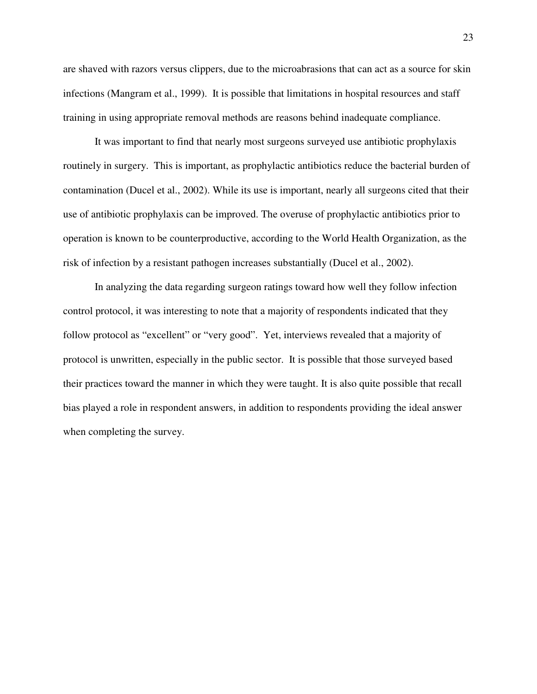are shaved with razors versus clippers, due to the microabrasions that can act as a source for skin infections (Mangram et al., 1999). It is possible that limitations in hospital resources and staff training in using appropriate removal methods are reasons behind inadequate compliance.

It was important to find that nearly most surgeons surveyed use antibiotic prophylaxis routinely in surgery. This is important, as prophylactic antibiotics reduce the bacterial burden of contamination (Ducel et al., 2002). While its use is important, nearly all surgeons cited that their use of antibiotic prophylaxis can be improved. The overuse of prophylactic antibiotics prior to operation is known to be counterproductive, according to the World Health Organization, as the risk of infection by a resistant pathogen increases substantially (Ducel et al., 2002).

In analyzing the data regarding surgeon ratings toward how well they follow infection control protocol, it was interesting to note that a majority of respondents indicated that they follow protocol as "excellent" or "very good". Yet, interviews revealed that a majority of protocol is unwritten, especially in the public sector. It is possible that those surveyed based their practices toward the manner in which they were taught. It is also quite possible that recall bias played a role in respondent answers, in addition to respondents providing the ideal answer when completing the survey.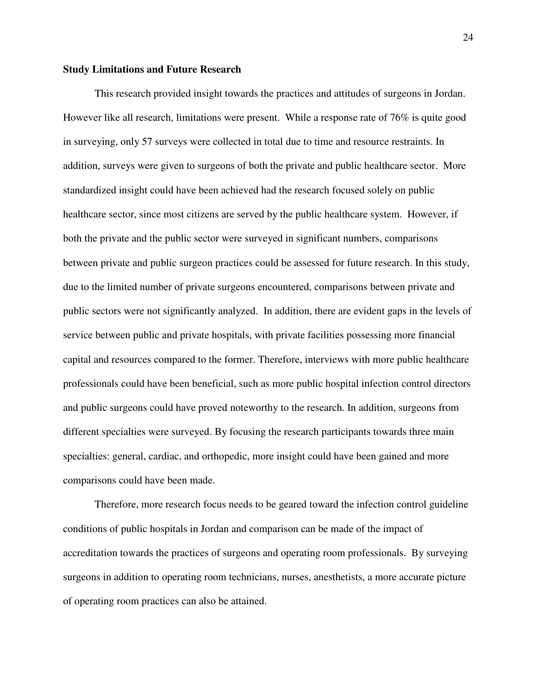#### **Study Limitations and Future Research**

This research provided insight towards the practices and attitudes of surgeons in Jordan. However like all research, limitations were present. While a response rate of 76% is quite good in surveying, only 57 surveys were collected in total due to time and resource restraints. In addition, surveys were given to surgeons of both the private and public healthcare sector. More standardized insight could have been achieved had the research focused solely on public healthcare sector, since most citizens are served by the public healthcare system. However, if both the private and the public sector were surveyed in significant numbers, comparisons between private and public surgeon practices could be assessed for future research. In this study, due to the limited number of private surgeons encountered, comparisons between private and public sectors were not significantly analyzed. In addition, there are evident gaps in the levels of service between public and private hospitals, with private facilities possessing more financial capital and resources compared to the former. Therefore, interviews with more public healthcare professionals could have been beneficial, such as more public hospital infection control directors and public surgeons could have proved noteworthy to the research. In addition, surgeons from different specialties were surveyed. By focusing the research participants towards three main specialties: general, cardiac, and orthopedic, more insight could have been gained and more comparisons could have been made.

Therefore, more research focus needs to be geared toward the infection control guideline conditions of public hospitals in Jordan and comparison can be made of the impact of accreditation towards the practices of surgeons and operating room professionals. By surveying surgeons in addition to operating room technicians, nurses, anesthetists, a more accurate picture of operating room practices can also be attained.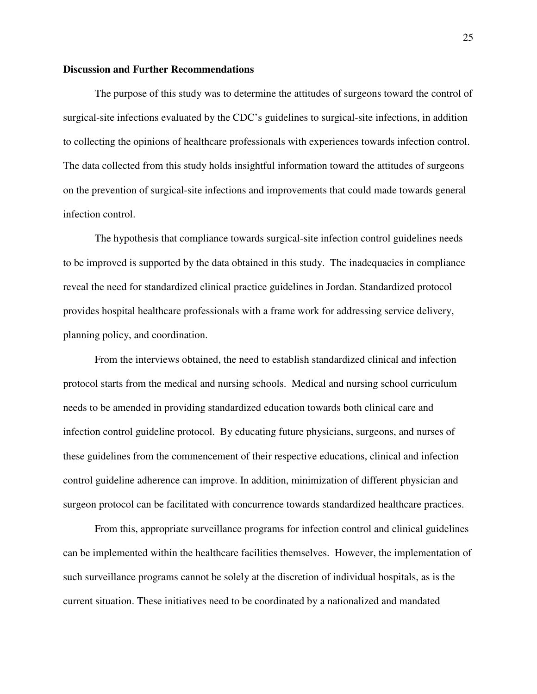#### **Discussion and Further Recommendations**

The purpose of this study was to determine the attitudes of surgeons toward the control of surgical-site infections evaluated by the CDC's guidelines to surgical-site infections, in addition to collecting the opinions of healthcare professionals with experiences towards infection control. The data collected from this study holds insightful information toward the attitudes of surgeons on the prevention of surgical-site infections and improvements that could made towards general infection control.

The hypothesis that compliance towards surgical-site infection control guidelines needs to be improved is supported by the data obtained in this study. The inadequacies in compliance reveal the need for standardized clinical practice guidelines in Jordan. Standardized protocol provides hospital healthcare professionals with a frame work for addressing service delivery, planning policy, and coordination.

From the interviews obtained, the need to establish standardized clinical and infection protocol starts from the medical and nursing schools. Medical and nursing school curriculum needs to be amended in providing standardized education towards both clinical care and infection control guideline protocol. By educating future physicians, surgeons, and nurses of these guidelines from the commencement of their respective educations, clinical and infection control guideline adherence can improve. In addition, minimization of different physician and surgeon protocol can be facilitated with concurrence towards standardized healthcare practices.

From this, appropriate surveillance programs for infection control and clinical guidelines can be implemented within the healthcare facilities themselves. However, the implementation of such surveillance programs cannot be solely at the discretion of individual hospitals, as is the current situation. These initiatives need to be coordinated by a nationalized and mandated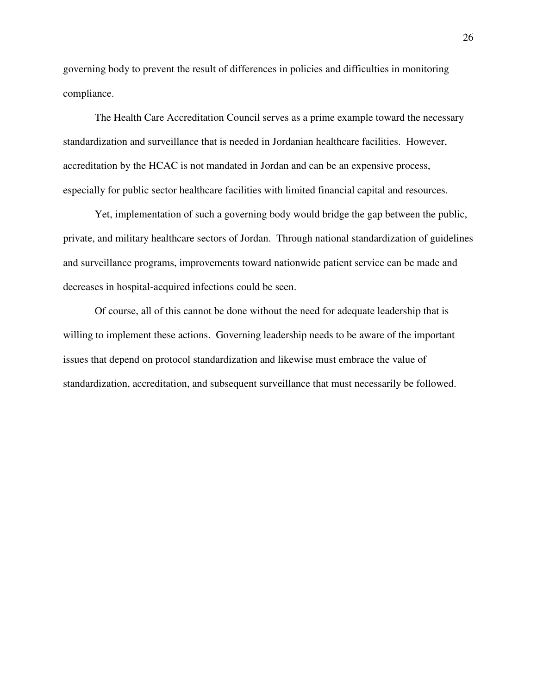governing body to prevent the result of differences in policies and difficulties in monitoring compliance.

The Health Care Accreditation Council serves as a prime example toward the necessary standardization and surveillance that is needed in Jordanian healthcare facilities. However, accreditation by the HCAC is not mandated in Jordan and can be an expensive process, especially for public sector healthcare facilities with limited financial capital and resources.

Yet, implementation of such a governing body would bridge the gap between the public, private, and military healthcare sectors of Jordan. Through national standardization of guidelines and surveillance programs, improvements toward nationwide patient service can be made and decreases in hospital-acquired infections could be seen.

Of course, all of this cannot be done without the need for adequate leadership that is willing to implement these actions. Governing leadership needs to be aware of the important issues that depend on protocol standardization and likewise must embrace the value of standardization, accreditation, and subsequent surveillance that must necessarily be followed.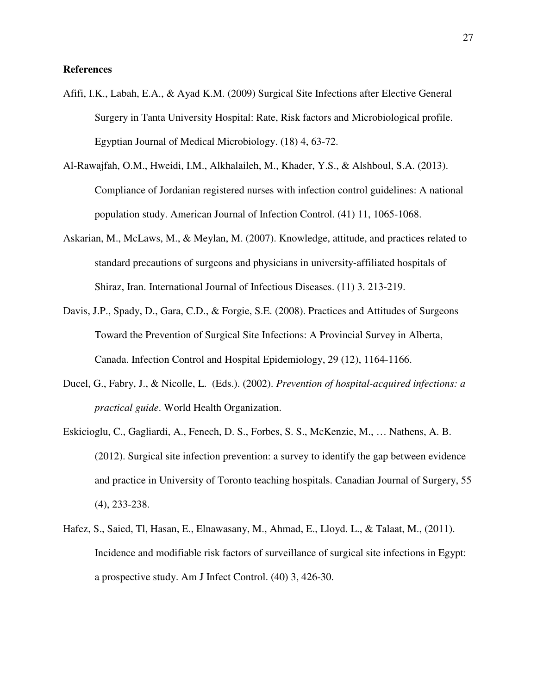#### **References**

- Afifi, I.K., Labah, E.A., & Ayad K.M. (2009) Surgical Site Infections after Elective General Surgery in Tanta University Hospital: Rate, Risk factors and Microbiological profile. Egyptian Journal of Medical Microbiology. (18) 4, 63-72.
- Al-Rawajfah, O.M., Hweidi, I.M., Alkhalaileh, M., Khader, Y.S., & Alshboul, S.A. (2013). Compliance of Jordanian registered nurses with infection control guidelines: A national population study. American Journal of Infection Control. (41) 11, 1065-1068.
- Askarian, M., McLaws, M., & Meylan, M. (2007). Knowledge, attitude, and practices related to standard precautions of surgeons and physicians in university-affiliated hospitals of Shiraz, Iran. International Journal of Infectious Diseases. (11) 3. 213-219.
- Davis, J.P., Spady, D., Gara, C.D., & Forgie, S.E. (2008). Practices and Attitudes of Surgeons Toward the Prevention of Surgical Site Infections: A Provincial Survey in Alberta, Canada. Infection Control and Hospital Epidemiology, 29 (12), 1164-1166.
- Ducel, G., Fabry, J., & Nicolle, L. (Eds.). (2002). *Prevention of hospital-acquired infections: a practical guide*. World Health Organization.
- Eskicioglu, C., Gagliardi, A., Fenech, D. S., Forbes, S. S., McKenzie, M., … Nathens, A. B. (2012). Surgical site infection prevention: a survey to identify the gap between evidence and practice in University of Toronto teaching hospitals. Canadian Journal of Surgery, 55 (4), 233-238.
- Hafez, S., Saied, Tl, Hasan, E., Elnawasany, M., Ahmad, E., Lloyd. L., & Talaat, M., (2011). Incidence and modifiable risk factors of surveillance of surgical site infections in Egypt: a prospective study. Am J Infect Control. (40) 3, 426-30.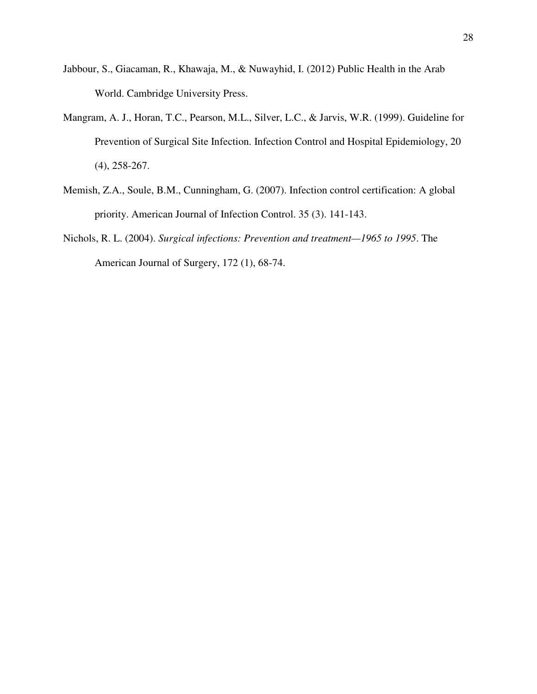- Jabbour, S., Giacaman, R., Khawaja, M., & Nuwayhid, I. (2012) Public Health in the Arab World. Cambridge University Press.
- Mangram, A. J., Horan, T.C., Pearson, M.L., Silver, L.C., & Jarvis, W.R. (1999). Guideline for Prevention of Surgical Site Infection. Infection Control and Hospital Epidemiology, 20 (4), 258-267.
- Memish, Z.A., Soule, B.M., Cunningham, G. (2007). Infection control certification: A global priority. American Journal of Infection Control. 35 (3). 141-143.
- Nichols, R. L. (2004). *Surgical infections: Prevention and treatment—1965 to 1995*. The American Journal of Surgery, 172 (1), 68-74.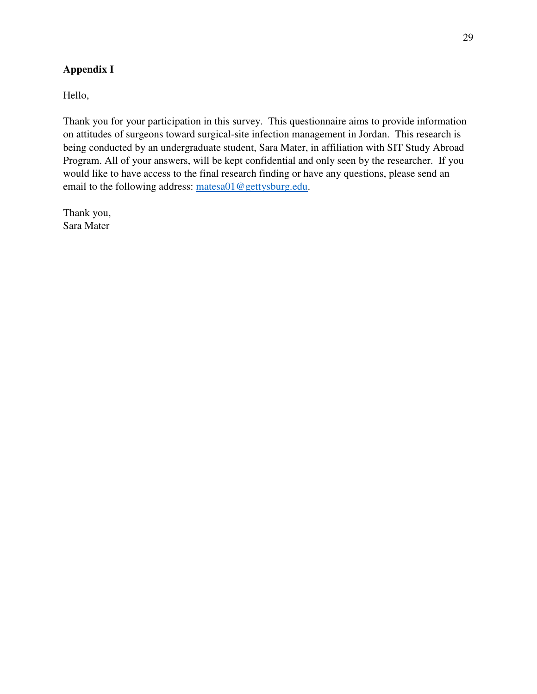# **Appendix I**

Hello,

Thank you for your participation in this survey. This questionnaire aims to provide information on attitudes of surgeons toward surgical-site infection management in Jordan. This research is being conducted by an undergraduate student, Sara Mater, in affiliation with SIT Study Abroad Program. All of your answers, will be kept confidential and only seen by the researcher. If you would like to have access to the final research finding or have any questions, please send an email to the following address: matesa01@gettysburg.edu.

Thank you, Sara Mater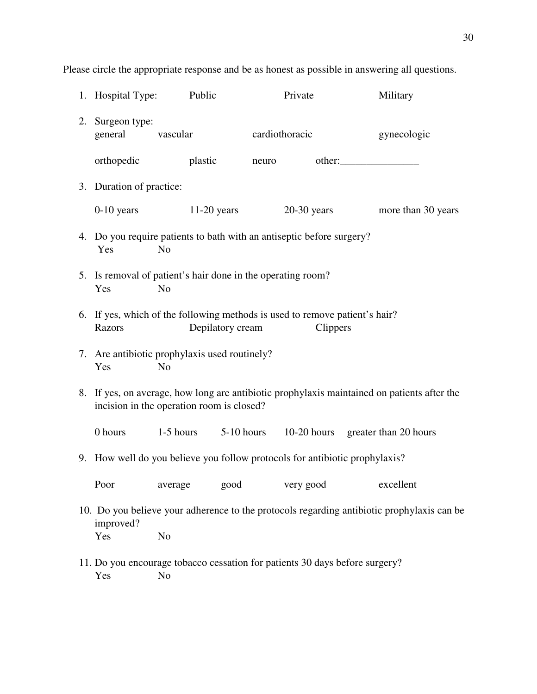| 1. Hospital Type:                                                                                                                        |                | Public                 |                | Private         | Military                                                                                   |  |
|------------------------------------------------------------------------------------------------------------------------------------------|----------------|------------------------|----------------|-----------------|--------------------------------------------------------------------------------------------|--|
| 2. Surgeon type:<br>general                                                                                                              | vascular       |                        | cardiothoracic |                 | gynecologic                                                                                |  |
| orthopedic                                                                                                                               |                | plastic                | neuro          |                 | other:                                                                                     |  |
| 3. Duration of practice:                                                                                                                 |                |                        |                |                 |                                                                                            |  |
| $0-10$ years                                                                                                                             |                | $11-20$ years          |                | $20-30$ years   | more than 30 years                                                                         |  |
| 4. Do you require patients to bath with an antiseptic before surgery?<br>Yes<br>N <sub>o</sub>                                           |                |                        |                |                 |                                                                                            |  |
| 5. Is removal of patient's hair done in the operating room?<br>Yes                                                                       | N <sub>0</sub> |                        |                |                 |                                                                                            |  |
| 6. If yes, which of the following methods is used to remove patient's hair?<br>Razors                                                    |                | Depilatory cream       |                | <b>Clippers</b> |                                                                                            |  |
| 7. Are antibiotic prophylaxis used routinely?<br>Yes                                                                                     | N <sub>o</sub> |                        |                |                 |                                                                                            |  |
| 8. If yes, on average, how long are antibiotic prophylaxis maintained on patients after the<br>incision in the operation room is closed? |                |                        |                |                 |                                                                                            |  |
| 0 hours                                                                                                                                  | $1-5$ hours    | 5-10 hours             |                |                 | 10-20 hours greater than 20 hours                                                          |  |
|                                                                                                                                          |                |                        |                |                 | 9. How well do you believe you follow protocols for antibiotic prophylaxis?                |  |
| Poor                                                                                                                                     |                | average good very good |                |                 | excellent                                                                                  |  |
| improved?                                                                                                                                |                |                        |                |                 | 10. Do you believe your adherence to the protocols regarding antibiotic prophylaxis can be |  |
| Yes                                                                                                                                      | N <sub>o</sub> |                        |                |                 |                                                                                            |  |
| 11. Do you encourage tobacco cessation for patients 30 days before surgery?<br>Yes                                                       | N <sub>o</sub> |                        |                |                 |                                                                                            |  |

Please circle the appropriate response and be as honest as possible in answering all questions.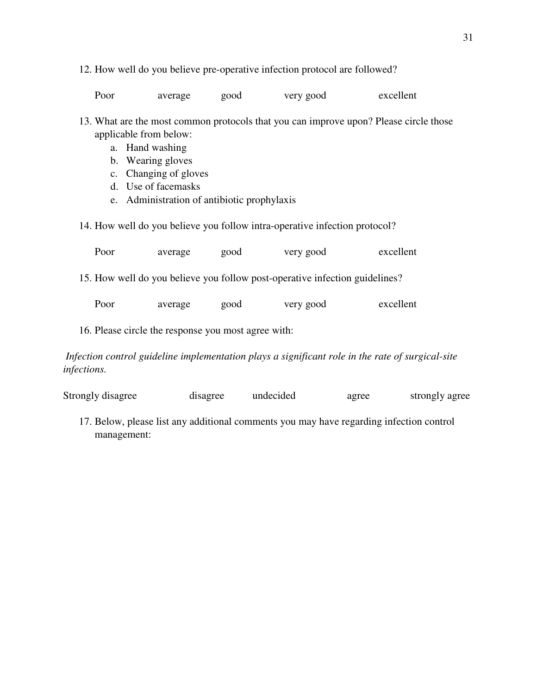12. How well do you believe pre-operative infection protocol are followed?

| Poor | average | good | very good | excellent |
|------|---------|------|-----------|-----------|
|------|---------|------|-----------|-----------|

- 13. What are the most common protocols that you can improve upon? Please circle those applicable from below:
	- a. Hand washing
	- b. Wearing gloves
	- c. Changing of gloves
	- d. Use of facemasks
	- e. Administration of antibiotic prophylaxis
- 14. How well do you believe you follow intra-operative infection protocol?

| Poor                                                                                                            | average | good | very good | excellent |  |  |  |
|-----------------------------------------------------------------------------------------------------------------|---------|------|-----------|-----------|--|--|--|
| 15. How well do you believe you follow post-operative infection guidelines?                                     |         |      |           |           |  |  |  |
| Poor                                                                                                            | average | good | very good | excellent |  |  |  |
| 16. Please circle the response you most agree with:                                                             |         |      |           |           |  |  |  |
| Infection control guideline implementation plays a significant role in the rate of surgical-site<br>infections. |         |      |           |           |  |  |  |

| Strongly disagree | disagree | undecided | agree | strongly agree |
|-------------------|----------|-----------|-------|----------------|
|                   |          |           |       |                |

17. Below, please list any additional comments you may have regarding infection control management: